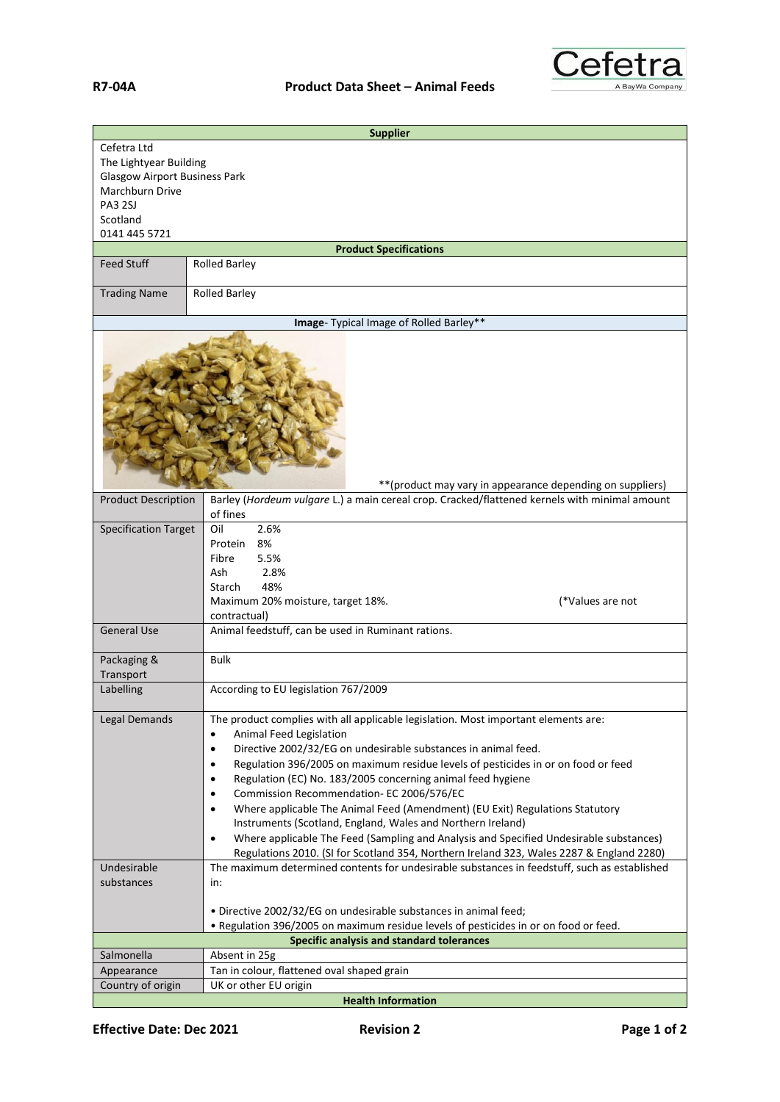

|                                                                                                                                          | <b>Supplier</b>                                                                                                                                                                                                                                                                                                                                                                                                                                                                                                                                                                                                                                                                                                                                                                                          |  |
|------------------------------------------------------------------------------------------------------------------------------------------|----------------------------------------------------------------------------------------------------------------------------------------------------------------------------------------------------------------------------------------------------------------------------------------------------------------------------------------------------------------------------------------------------------------------------------------------------------------------------------------------------------------------------------------------------------------------------------------------------------------------------------------------------------------------------------------------------------------------------------------------------------------------------------------------------------|--|
| Cefetra Ltd<br>The Lightyear Building<br><b>Glasgow Airport Business Park</b><br>Marchburn Drive<br>PA3 2SJ<br>Scotland<br>0141 445 5721 |                                                                                                                                                                                                                                                                                                                                                                                                                                                                                                                                                                                                                                                                                                                                                                                                          |  |
| <b>Product Specifications</b>                                                                                                            |                                                                                                                                                                                                                                                                                                                                                                                                                                                                                                                                                                                                                                                                                                                                                                                                          |  |
| <b>Feed Stuff</b>                                                                                                                        | <b>Rolled Barley</b>                                                                                                                                                                                                                                                                                                                                                                                                                                                                                                                                                                                                                                                                                                                                                                                     |  |
| <b>Trading Name</b>                                                                                                                      | <b>Rolled Barley</b>                                                                                                                                                                                                                                                                                                                                                                                                                                                                                                                                                                                                                                                                                                                                                                                     |  |
| Image- Typical Image of Rolled Barley**                                                                                                  |                                                                                                                                                                                                                                                                                                                                                                                                                                                                                                                                                                                                                                                                                                                                                                                                          |  |
| ** (product may vary in appearance depending on suppliers)                                                                               |                                                                                                                                                                                                                                                                                                                                                                                                                                                                                                                                                                                                                                                                                                                                                                                                          |  |
| <b>Product Description</b>                                                                                                               | Barley (Hordeum vulgare L.) a main cereal crop. Cracked/flattened kernels with minimal amount<br>of fines                                                                                                                                                                                                                                                                                                                                                                                                                                                                                                                                                                                                                                                                                                |  |
| <b>Specification Target</b>                                                                                                              | 2.6%<br>Oil<br>8%<br>Protein<br>Fibre<br>5.5%<br>2.8%<br>Ash<br>48%<br>Starch<br>Maximum 20% moisture, target 18%.<br>(*Values are not<br>contractual)                                                                                                                                                                                                                                                                                                                                                                                                                                                                                                                                                                                                                                                   |  |
| <b>General Use</b>                                                                                                                       | Animal feedstuff, can be used in Ruminant rations.                                                                                                                                                                                                                                                                                                                                                                                                                                                                                                                                                                                                                                                                                                                                                       |  |
| Packaging &<br>Transport                                                                                                                 | <b>Bulk</b>                                                                                                                                                                                                                                                                                                                                                                                                                                                                                                                                                                                                                                                                                                                                                                                              |  |
| Labelling                                                                                                                                | According to EU legislation 767/2009                                                                                                                                                                                                                                                                                                                                                                                                                                                                                                                                                                                                                                                                                                                                                                     |  |
| Legal Demands                                                                                                                            | The product complies with all applicable legislation. Most important elements are:<br>Animal Feed Legislation<br>$\bullet$<br>Directive 2002/32/EG on undesirable substances in animal feed.<br>$\bullet$<br>Regulation 396/2005 on maximum residue levels of pesticides in or on food or feed<br>$\bullet$<br>Regulation (EC) No. 183/2005 concerning animal feed hygiene<br>$\bullet$<br>Commission Recommendation- EC 2006/576/EC<br>٠<br>Where applicable The Animal Feed (Amendment) (EU Exit) Regulations Statutory<br>$\bullet$<br>Instruments (Scotland, England, Wales and Northern Ireland)<br>Where applicable The Feed (Sampling and Analysis and Specified Undesirable substances)<br>$\bullet$<br>Regulations 2010. (SI for Scotland 354, Northern Ireland 323, Wales 2287 & England 2280) |  |
| Undesirable<br>substances                                                                                                                | The maximum determined contents for undesirable substances in feedstuff, such as established<br>in:                                                                                                                                                                                                                                                                                                                                                                                                                                                                                                                                                                                                                                                                                                      |  |
|                                                                                                                                          | · Directive 2002/32/EG on undesirable substances in animal feed;<br>. Regulation 396/2005 on maximum residue levels of pesticides in or on food or feed.                                                                                                                                                                                                                                                                                                                                                                                                                                                                                                                                                                                                                                                 |  |
| Specific analysis and standard tolerances                                                                                                |                                                                                                                                                                                                                                                                                                                                                                                                                                                                                                                                                                                                                                                                                                                                                                                                          |  |
| Salmonella                                                                                                                               | Absent in 25g                                                                                                                                                                                                                                                                                                                                                                                                                                                                                                                                                                                                                                                                                                                                                                                            |  |
| Appearance                                                                                                                               | Tan in colour, flattened oval shaped grain                                                                                                                                                                                                                                                                                                                                                                                                                                                                                                                                                                                                                                                                                                                                                               |  |
| Country of origin                                                                                                                        | UK or other EU origin<br><b>Health Information</b>                                                                                                                                                                                                                                                                                                                                                                                                                                                                                                                                                                                                                                                                                                                                                       |  |